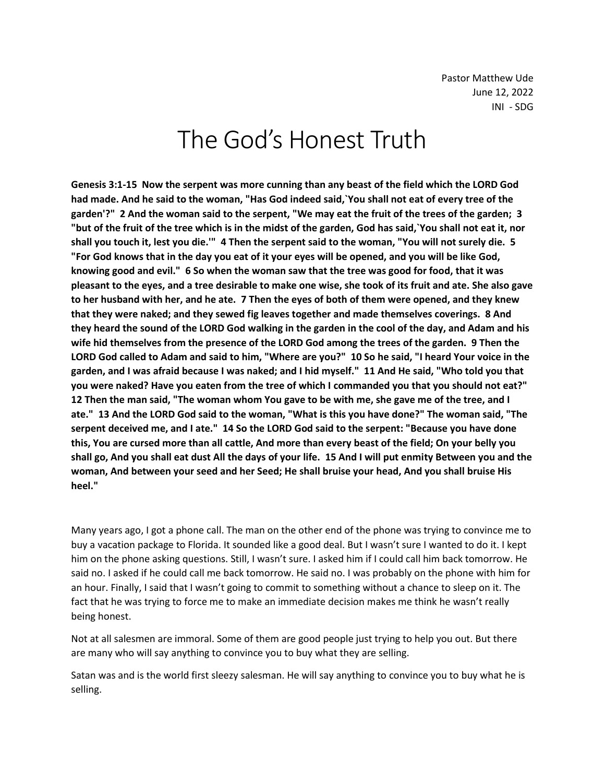# The God's Honest Truth

**Genesis 3:1-15 Now the serpent was more cunning than any beast of the field which the LORD God had made. And he said to the woman, "Has God indeed said,`You shall not eat of every tree of the garden'?" 2 And the woman said to the serpent, "We may eat the fruit of the trees of the garden; 3 "but of the fruit of the tree which is in the midst of the garden, God has said,`You shall not eat it, nor shall you touch it, lest you die.'" 4 Then the serpent said to the woman, "You will not surely die. 5 "For God knows that in the day you eat of it your eyes will be opened, and you will be like God, knowing good and evil." 6 So when the woman saw that the tree was good for food, that it was pleasant to the eyes, and a tree desirable to make one wise, she took of its fruit and ate. She also gave to her husband with her, and he ate. 7 Then the eyes of both of them were opened, and they knew that they were naked; and they sewed fig leaves together and made themselves coverings. 8 And they heard the sound of the LORD God walking in the garden in the cool of the day, and Adam and his wife hid themselves from the presence of the LORD God among the trees of the garden. 9 Then the LORD God called to Adam and said to him, "Where are you?" 10 So he said, "I heard Your voice in the garden, and I was afraid because I was naked; and I hid myself." 11 And He said, "Who told you that you were naked? Have you eaten from the tree of which I commanded you that you should not eat?" 12 Then the man said, "The woman whom You gave to be with me, she gave me of the tree, and I ate." 13 And the LORD God said to the woman, "What is this you have done?" The woman said, "The serpent deceived me, and I ate." 14 So the LORD God said to the serpent: "Because you have done this, You are cursed more than all cattle, And more than every beast of the field; On your belly you shall go, And you shall eat dust All the days of your life. 15 And I will put enmity Between you and the woman, And between your seed and her Seed; He shall bruise your head, And you shall bruise His heel."**

Many years ago, I got a phone call. The man on the other end of the phone was trying to convince me to buy a vacation package to Florida. It sounded like a good deal. But I wasn't sure I wanted to do it. I kept him on the phone asking questions. Still, I wasn't sure. I asked him if I could call him back tomorrow. He said no. I asked if he could call me back tomorrow. He said no. I was probably on the phone with him for an hour. Finally, I said that I wasn't going to commit to something without a chance to sleep on it. The fact that he was trying to force me to make an immediate decision makes me think he wasn't really being honest.

Not at all salesmen are immoral. Some of them are good people just trying to help you out. But there are many who will say anything to convince you to buy what they are selling.

Satan was and is the world first sleezy salesman. He will say anything to convince you to buy what he is selling.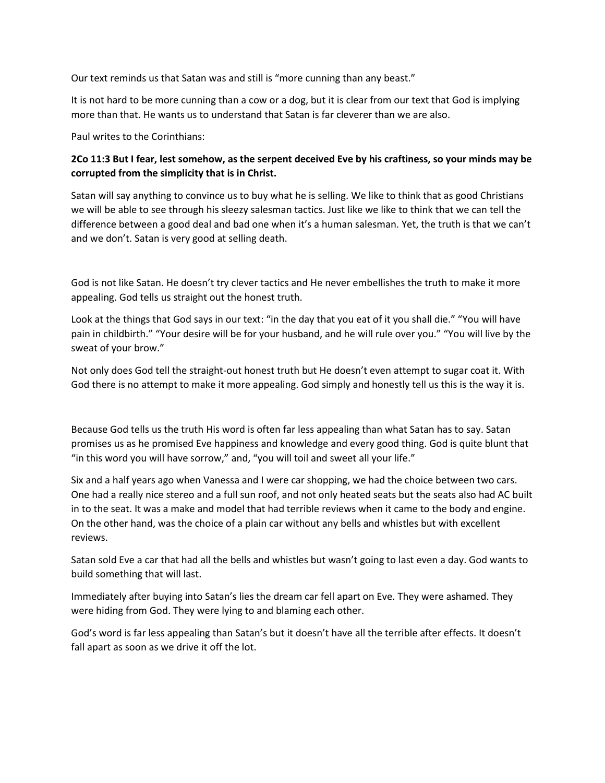Our text reminds us that Satan was and still is "more cunning than any beast."

It is not hard to be more cunning than a cow or a dog, but it is clear from our text that God is implying more than that. He wants us to understand that Satan is far cleverer than we are also.

Paul writes to the Corinthians:

# **2Co 11:3 But I fear, lest somehow, as the serpent deceived Eve by his craftiness, so your minds may be corrupted from the simplicity that is in Christ.**

Satan will say anything to convince us to buy what he is selling. We like to think that as good Christians we will be able to see through his sleezy salesman tactics. Just like we like to think that we can tell the difference between a good deal and bad one when it's a human salesman. Yet, the truth is that we can't and we don't. Satan is very good at selling death.

God is not like Satan. He doesn't try clever tactics and He never embellishes the truth to make it more appealing. God tells us straight out the honest truth.

Look at the things that God says in our text: "in the day that you eat of it you shall die." "You will have pain in childbirth." "Your desire will be for your husband, and he will rule over you." "You will live by the sweat of your brow."

Not only does God tell the straight-out honest truth but He doesn't even attempt to sugar coat it. With God there is no attempt to make it more appealing. God simply and honestly tell us this is the way it is.

Because God tells us the truth His word is often far less appealing than what Satan has to say. Satan promises us as he promised Eve happiness and knowledge and every good thing. God is quite blunt that "in this word you will have sorrow," and, "you will toil and sweet all your life."

Six and a half years ago when Vanessa and I were car shopping, we had the choice between two cars. One had a really nice stereo and a full sun roof, and not only heated seats but the seats also had AC built in to the seat. It was a make and model that had terrible reviews when it came to the body and engine. On the other hand, was the choice of a plain car without any bells and whistles but with excellent reviews.

Satan sold Eve a car that had all the bells and whistles but wasn't going to last even a day. God wants to build something that will last.

Immediately after buying into Satan's lies the dream car fell apart on Eve. They were ashamed. They were hiding from God. They were lying to and blaming each other.

God's word is far less appealing than Satan's but it doesn't have all the terrible after effects. It doesn't fall apart as soon as we drive it off the lot.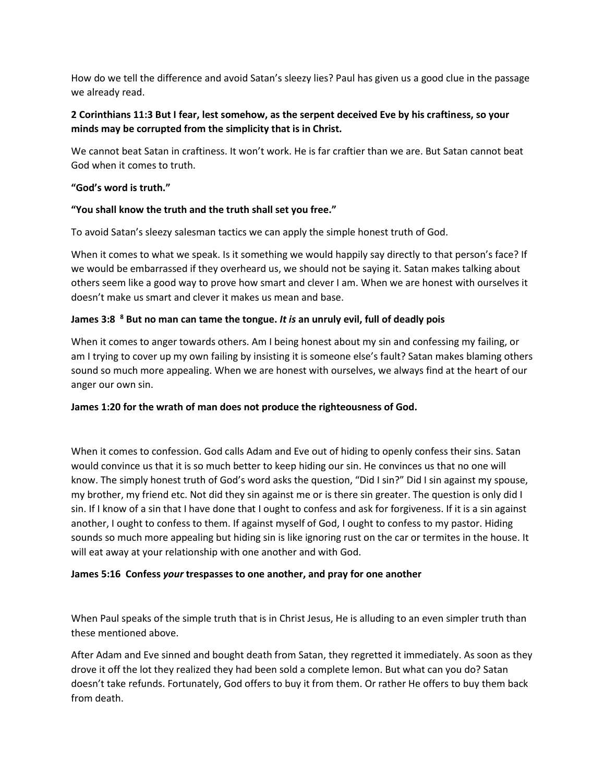How do we tell the difference and avoid Satan's sleezy lies? Paul has given us a good clue in the passage we already read.

# **2 Corinthians 11:3 But I fear, lest somehow, as the serpent deceived Eve by his craftiness, so your minds may be corrupted from the simplicity that is in Christ.**

We cannot beat Satan in craftiness. It won't work. He is far craftier than we are. But Satan cannot beat God when it comes to truth.

### **"God's word is truth."**

## **"You shall know the truth and the truth shall set you free."**

To avoid Satan's sleezy salesman tactics we can apply the simple honest truth of God.

When it comes to what we speak. Is it something we would happily say directly to that person's face? If we would be embarrassed if they overheard us, we should not be saying it. Satan makes talking about others seem like a good way to prove how smart and clever I am. When we are honest with ourselves it doesn't make us smart and clever it makes us mean and base.

## **James 3:8 <sup>8</sup> But no man can tame the tongue.** *It is* **an unruly evil, full of deadly pois**

When it comes to anger towards others. Am I being honest about my sin and confessing my failing, or am I trying to cover up my own failing by insisting it is someone else's fault? Satan makes blaming others sound so much more appealing. When we are honest with ourselves, we always find at the heart of our anger our own sin.

#### **James 1:20 for the wrath of man does not produce the righteousness of God.**

When it comes to confession. God calls Adam and Eve out of hiding to openly confess their sins. Satan would convince us that it is so much better to keep hiding our sin. He convinces us that no one will know. The simply honest truth of God's word asks the question, "Did I sin?" Did I sin against my spouse, my brother, my friend etc. Not did they sin against me or is there sin greater. The question is only did I sin. If I know of a sin that I have done that I ought to confess and ask for forgiveness. If it is a sin against another, I ought to confess to them. If against myself of God, I ought to confess to my pastor. Hiding sounds so much more appealing but hiding sin is like ignoring rust on the car or termites in the house. It will eat away at your relationship with one another and with God.

#### **James 5:16 Confess** *your* **trespasses to one another, and pray for one another**

When Paul speaks of the simple truth that is in Christ Jesus, He is alluding to an even simpler truth than these mentioned above.

After Adam and Eve sinned and bought death from Satan, they regretted it immediately. As soon as they drove it off the lot they realized they had been sold a complete lemon. But what can you do? Satan doesn't take refunds. Fortunately, God offers to buy it from them. Or rather He offers to buy them back from death.